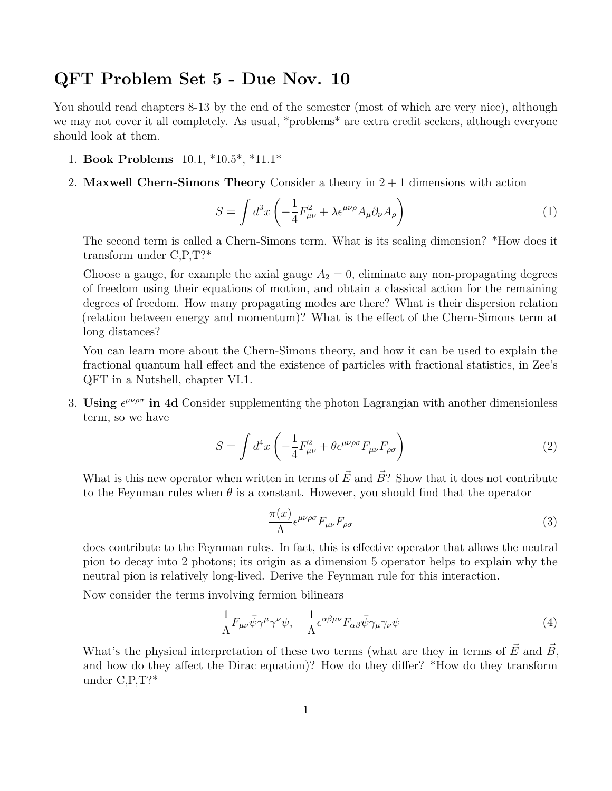## QFT Problem Set 5 - Due Nov. 10

You should read chapters 8-13 by the end of the semester (most of which are very nice), although we may not cover it all completely. As usual, \*problems\* are extra credit seekers, although everyone should look at them.

- 1. Book Problems 10.1, \*10.5\*, \*11.1\*
- 2. Maxwell Chern-Simons Theory Consider a theory in  $2 + 1$  dimensions with action

$$
S = \int d^3x \left( -\frac{1}{4} F_{\mu\nu}^2 + \lambda \epsilon^{\mu\nu\rho} A_{\mu} \partial_{\nu} A_{\rho} \right) \tag{1}
$$

The second term is called a Chern-Simons term. What is its scaling dimension? \*How does it transform under C,P,T?\*

Choose a gauge, for example the axial gauge  $A_2 = 0$ , eliminate any non-propagating degrees of freedom using their equations of motion, and obtain a classical action for the remaining degrees of freedom. How many propagating modes are there? What is their dispersion relation (relation between energy and momentum)? What is the effect of the Chern-Simons term at long distances?

You can learn more about the Chern-Simons theory, and how it can be used to explain the fractional quantum hall effect and the existence of particles with fractional statistics, in Zee's QFT in a Nutshell, chapter VI.1.

3. Using  $\epsilon^{\mu\nu\rho\sigma}$  in 4d Consider supplementing the photon Lagrangian with another dimensionless term, so we have

$$
S = \int d^4x \left( -\frac{1}{4} F_{\mu\nu}^2 + \theta \epsilon^{\mu\nu\rho\sigma} F_{\mu\nu} F_{\rho\sigma} \right) \tag{2}
$$

What is this new operator when written in terms of  $\vec{E}$  and  $\vec{B}$ ? Show that it does not contribute to the Feynman rules when  $\theta$  is a constant. However, you should find that the operator

$$
\frac{\pi(x)}{\Lambda} \epsilon^{\mu\nu\rho\sigma} F_{\mu\nu} F_{\rho\sigma} \tag{3}
$$

does contribute to the Feynman rules. In fact, this is effective operator that allows the neutral pion to decay into 2 photons; its origin as a dimension 5 operator helps to explain why the neutral pion is relatively long-lived. Derive the Feynman rule for this interaction.

Now consider the terms involving fermion bilinears

$$
\frac{1}{\Lambda}F_{\mu\nu}\bar{\psi}\gamma^{\mu}\gamma^{\nu}\psi, \quad \frac{1}{\Lambda}\epsilon^{\alpha\beta\mu\nu}F_{\alpha\beta}\bar{\psi}\gamma_{\mu}\gamma_{\nu}\psi\tag{4}
$$

What's the physical interpretation of these two terms (what are they in terms of  $\vec{E}$  and  $\vec{B}$ , and how do they affect the Dirac equation)? How do they differ? \*How do they transform under C,P,T?\*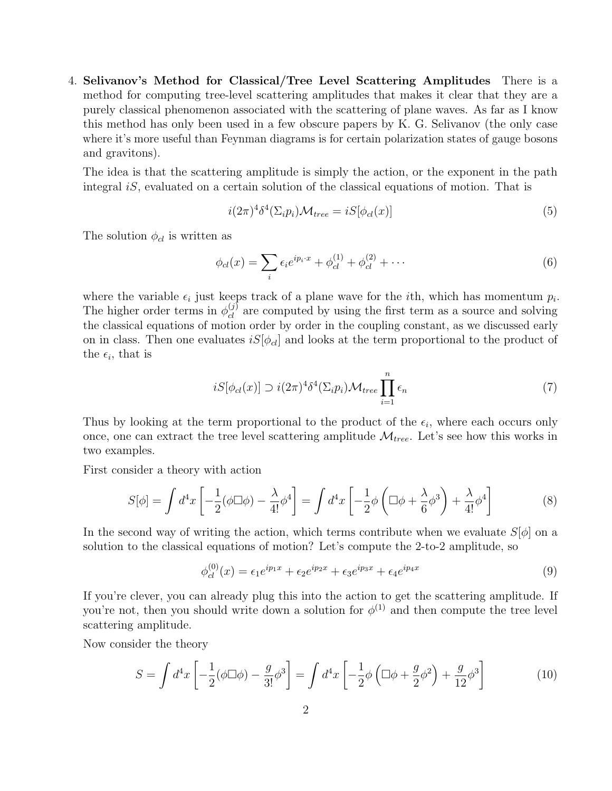4. Selivanov's Method for Classical/Tree Level Scattering Amplitudes There is a method for computing tree-level scattering amplitudes that makes it clear that they are a purely classical phenomenon associated with the scattering of plane waves. As far as I know this method has only been used in a few obscure papers by K. G. Selivanov (the only case where it's more useful than Feynman diagrams is for certain polarization states of gauge bosons and gravitons).

The idea is that the scattering amplitude is simply the action, or the exponent in the path integral  $iS$ , evaluated on a certain solution of the classical equations of motion. That is

$$
i(2\pi)^{4}\delta^{4}(\Sigma_{i}p_{i})\mathcal{M}_{tree} = iS[\phi_{cl}(x)]\tag{5}
$$

The solution  $\phi_{cl}$  is written as

$$
\phi_{cl}(x) = \sum_{i} \epsilon_i e^{ip_i \cdot x} + \phi_{cl}^{(1)} + \phi_{cl}^{(2)} + \cdots
$$
\n(6)

where the variable  $\epsilon_i$  just keeps track of a plane wave for the *i*th, which has momentum  $p_i$ . The higher order terms in  $\phi_{cl}^{(j)}$  are computed by using the first term as a source and solving the classical equations of motion order by order in the coupling constant, as we discussed early on in class. Then one evaluates  $iS[\phi_{cl}]$  and looks at the term proportional to the product of the  $\epsilon_i$ , that is

$$
iS[\phi_{cl}(x)] \supset i(2\pi)^4 \delta^4(\Sigma_i p_i) \mathcal{M}_{tree} \prod_{i=1}^n \epsilon_n \tag{7}
$$

Thus by looking at the term proportional to the product of the  $\epsilon_i$ , where each occurs only once, one can extract the tree level scattering amplitude  $\mathcal{M}_{tree}$ . Let's see how this works in two examples.

First consider a theory with action

$$
S[\phi] = \int d^4x \left[ -\frac{1}{2}(\phi \Box \phi) - \frac{\lambda}{4!} \phi^4 \right] = \int d^4x \left[ -\frac{1}{2} \phi \left( \Box \phi + \frac{\lambda}{6} \phi^3 \right) + \frac{\lambda}{4!} \phi^4 \right] \tag{8}
$$

In the second way of writing the action, which terms contribute when we evaluate  $S[\phi]$  on a solution to the classical equations of motion? Let's compute the 2-to-2 amplitude, so

$$
\phi_{cl}^{(0)}(x) = \epsilon_1 e^{ip_1 x} + \epsilon_2 e^{ip_2 x} + \epsilon_3 e^{ip_3 x} + \epsilon_4 e^{ip_4 x}
$$
\n(9)

If you're clever, you can already plug this into the action to get the scattering amplitude. If you're not, then you should write down a solution for  $\phi^{(1)}$  and then compute the tree level scattering amplitude.

Now consider the theory

$$
S = \int d^4x \left[ -\frac{1}{2} (\phi \Box \phi) - \frac{g}{3!} \phi^3 \right] = \int d^4x \left[ -\frac{1}{2} \phi \left( \Box \phi + \frac{g}{2} \phi^2 \right) + \frac{g}{12} \phi^3 \right]
$$
(10)